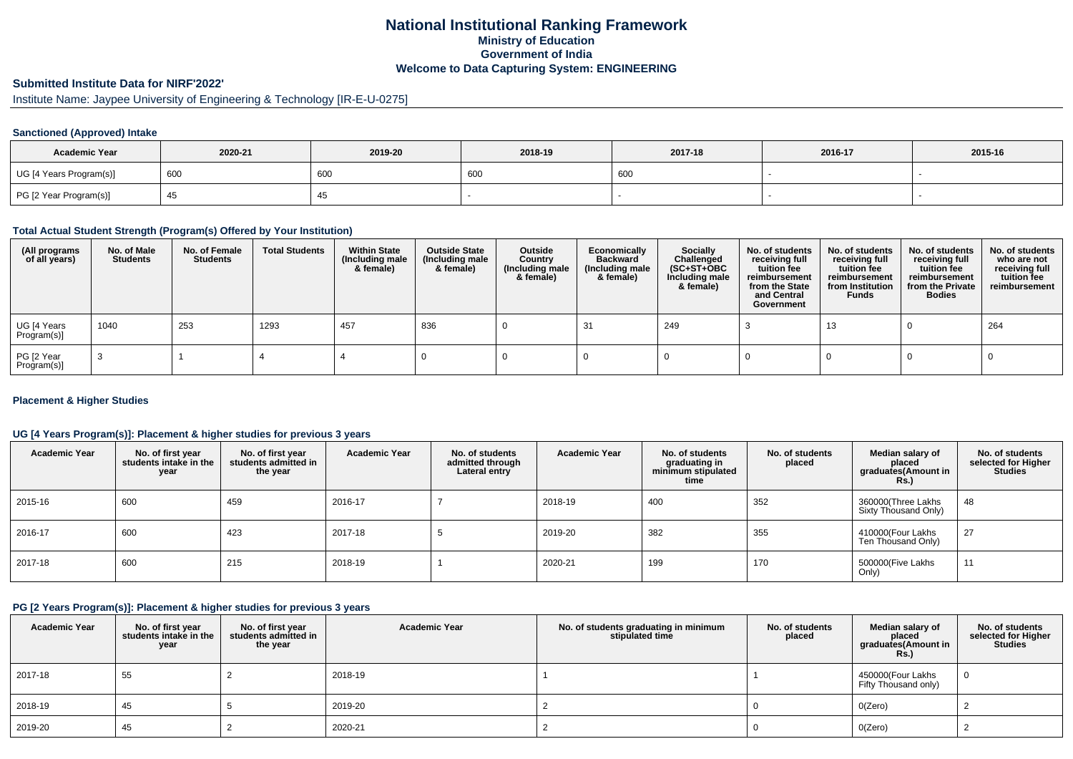### **National Institutional Ranking FrameworkMinistry of Education Government of IndiaWelcome to Data Capturing System: ENGINEERING**

# **Submitted Institute Data for NIRF'2022'**

# Institute Name: Jaypee University of Engineering & Technology [IR-E-U-0275]

#### **Sanctioned (Approved) Intake**

| <b>Academic Year</b>    | 2020-21  | 2019-20 | 2018-19 | 2017-18 | 2016-17 | 2015-16 |
|-------------------------|----------|---------|---------|---------|---------|---------|
| UG [4 Years Program(s)] | $^1$ 600 | 600     | 600     | 600     |         |         |
| PG [2 Year Program(s)]  |          | ≁∪      |         |         |         |         |

### **Total Actual Student Strength (Program(s) Offered by Your Institution)**

| (All programs<br>of all years) | No. of Male<br><b>Students</b> | No. of Female<br>Students | <b>Total Students</b> | <b>Within State</b><br>(Including male<br>& female) | <b>Outside State</b><br>(Including male<br>& female) | Outside<br>Country<br>(Including male<br>& female) | Economically<br>Backward<br>(Including male<br>& female) | <b>Socially</b><br>Challenged<br>$(SC+ST+OBC)$<br>Including male<br>& female) | No. of students<br>receiving full<br>tuition fee<br>reimbursement<br>from the State<br>and Central<br>Government | No. of students<br>receiving full<br>tuition fee<br>reimbursement<br>from Institution<br><b>Funds</b> | No. of students<br>receiving full<br>tuition fee<br>reimbursement<br>from the Private<br><b>Bodies</b> | No. of students<br>who are not<br>receiving full<br>tuition fee<br>reimbursement |
|--------------------------------|--------------------------------|---------------------------|-----------------------|-----------------------------------------------------|------------------------------------------------------|----------------------------------------------------|----------------------------------------------------------|-------------------------------------------------------------------------------|------------------------------------------------------------------------------------------------------------------|-------------------------------------------------------------------------------------------------------|--------------------------------------------------------------------------------------------------------|----------------------------------------------------------------------------------|
| UG [4 Years<br>Program(s)]     | 1040                           | 253                       | 1293                  | 457                                                 | 836                                                  |                                                    | -31                                                      | 249                                                                           |                                                                                                                  | 13                                                                                                    |                                                                                                        | 264                                                                              |
| PG [2 Year<br>Program(s)]      |                                |                           |                       |                                                     |                                                      |                                                    |                                                          |                                                                               |                                                                                                                  |                                                                                                       |                                                                                                        |                                                                                  |

#### **Placement & Higher Studies**

#### **UG [4 Years Program(s)]: Placement & higher studies for previous 3 years**

| <b>Academic Year</b> | No. of first year<br>students intake in the<br>year | No. of first year<br>students admitted in<br>the year | <b>Academic Year</b> | No. of students<br>admitted through<br>Lateral entry | <b>Academic Year</b> | No. of students<br>graduating in<br>minimum stipulated<br>time | No. of students<br>placed | Median salary of<br>placed<br>graduates(Amount in<br>Rs.) | No. of students<br>selected for Higher<br><b>Studies</b> |
|----------------------|-----------------------------------------------------|-------------------------------------------------------|----------------------|------------------------------------------------------|----------------------|----------------------------------------------------------------|---------------------------|-----------------------------------------------------------|----------------------------------------------------------|
| 2015-16              | 600                                                 | 459                                                   | 2016-17              |                                                      | 2018-19              | 400                                                            | 352                       | 360000(Three Lakhs<br>Sixty Thousand Only)                | 48                                                       |
| 2016-17              | 600                                                 | 423                                                   | 2017-18              |                                                      | 2019-20              | 382                                                            | 355                       | 410000(Four Lakhs<br>Ten Thousand Only)                   | 27                                                       |
| 2017-18              | 600                                                 | 215                                                   | 2018-19              |                                                      | 2020-21              | 199                                                            | 170                       | 500000(Five Lakhs<br>Only)                                | 11                                                       |

### **PG [2 Years Program(s)]: Placement & higher studies for previous 3 years**

| <b>Academic Year</b> | No. of first year<br>students intake in the<br>year | No. of first year<br>students admitted in<br>the year | <b>Academic Year</b> | No. of students graduating in minimum<br>stipulated time | No. of students<br>placed | Median salary of<br>placed<br>graduates(Amount in<br><b>Rs.)</b> | No. of students<br>selected for Higher<br><b>Studies</b> |
|----------------------|-----------------------------------------------------|-------------------------------------------------------|----------------------|----------------------------------------------------------|---------------------------|------------------------------------------------------------------|----------------------------------------------------------|
| 2017-18              | 55                                                  |                                                       | 2018-19              |                                                          |                           | 450000(Four Lakhs<br>Fifty Thousand only)                        |                                                          |
| 2018-19              | 45                                                  |                                                       | 2019-20              |                                                          |                           | O(Zero)                                                          |                                                          |
| 2019-20              | 45                                                  |                                                       | 2020-21              |                                                          |                           | O(Zero)                                                          |                                                          |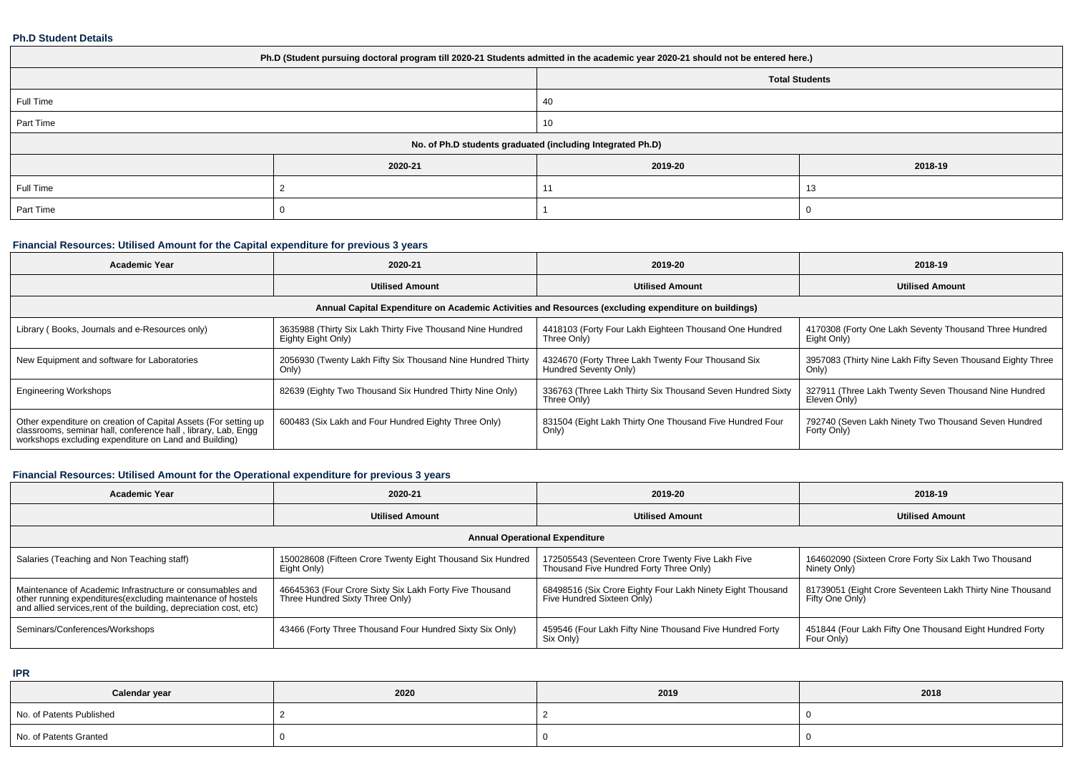#### **Ph.D Student Details**

| Ph.D (Student pursuing doctoral program till 2020-21 Students admitted in the academic year 2020-21 should not be entered here.) |         |                                                            |         |  |  |  |
|----------------------------------------------------------------------------------------------------------------------------------|---------|------------------------------------------------------------|---------|--|--|--|
| <b>Total Students</b>                                                                                                            |         |                                                            |         |  |  |  |
| Full Time                                                                                                                        |         | 40                                                         |         |  |  |  |
| Part Time                                                                                                                        |         | 10                                                         |         |  |  |  |
|                                                                                                                                  |         | No. of Ph.D students graduated (including Integrated Ph.D) |         |  |  |  |
|                                                                                                                                  | 2020-21 | 2019-20                                                    | 2018-19 |  |  |  |
| Full Time                                                                                                                        |         | 11                                                         | 13      |  |  |  |
| Part Time                                                                                                                        |         |                                                            |         |  |  |  |

# **Financial Resources: Utilised Amount for the Capital expenditure for previous 3 years**

| <b>Academic Year</b>                                                                                                                                                                      | 2020-21                                                                          | 2019-20                                                                                              | 2018-19                                                               |  |
|-------------------------------------------------------------------------------------------------------------------------------------------------------------------------------------------|----------------------------------------------------------------------------------|------------------------------------------------------------------------------------------------------|-----------------------------------------------------------------------|--|
|                                                                                                                                                                                           | <b>Utilised Amount</b>                                                           | <b>Utilised Amount</b>                                                                               | <b>Utilised Amount</b>                                                |  |
|                                                                                                                                                                                           |                                                                                  | Annual Capital Expenditure on Academic Activities and Resources (excluding expenditure on buildings) |                                                                       |  |
| Library (Books, Journals and e-Resources only)                                                                                                                                            | 3635988 (Thirty Six Lakh Thirty Five Thousand Nine Hundred<br>Eighty Eight Only) | 4418103 (Forty Four Lakh Eighteen Thousand One Hundred<br>Three Only)                                | 4170308 (Forty One Lakh Seventy Thousand Three Hundred<br>Eight Only) |  |
| New Equipment and software for Laboratories                                                                                                                                               | 2056930 (Twenty Lakh Fifty Six Thousand Nine Hundred Thirty<br>Only)             | 4324670 (Forty Three Lakh Twenty Four Thousand Six<br>Hundred Seventy Only)                          | 3957083 (Thirty Nine Lakh Fifty Seven Thousand Eighty Three<br>Only)  |  |
| <b>Engineering Workshops</b>                                                                                                                                                              | 82639 (Eighty Two Thousand Six Hundred Thirty Nine Only)                         | 336763 (Three Lakh Thirty Six Thousand Seven Hundred Sixty<br>Three Only)                            | 327911 (Three Lakh Twenty Seven Thousand Nine Hundred<br>Eleven Only) |  |
| Other expenditure on creation of Capital Assets (For setting up<br>classrooms, seminar hall, conference hall, library, Lab, Engg<br>workshops excluding expenditure on Land and Building) | 600483 (Six Lakh and Four Hundred Eighty Three Only)                             | 831504 (Eight Lakh Thirty One Thousand Five Hundred Four<br>Only)                                    | 792740 (Seven Lakh Ninety Two Thousand Seven Hundred<br>Forty Only)   |  |

# **Financial Resources: Utilised Amount for the Operational expenditure for previous 3 years**

| Academic Year                                                                                                                                                                                  | 2020-21                                                                                    | 2019-20                                                                                     | 2018-19                                                                     |  |  |  |  |  |  |
|------------------------------------------------------------------------------------------------------------------------------------------------------------------------------------------------|--------------------------------------------------------------------------------------------|---------------------------------------------------------------------------------------------|-----------------------------------------------------------------------------|--|--|--|--|--|--|
|                                                                                                                                                                                                | <b>Utilised Amount</b>                                                                     | <b>Utilised Amount</b>                                                                      | <b>Utilised Amount</b>                                                      |  |  |  |  |  |  |
| <b>Annual Operational Expenditure</b>                                                                                                                                                          |                                                                                            |                                                                                             |                                                                             |  |  |  |  |  |  |
| Salaries (Teaching and Non Teaching staff)                                                                                                                                                     | 150028608 (Fifteen Crore Twenty Eight Thousand Six Hundred<br>Eight Only)                  | 172505543 (Seventeen Crore Twenty Five Lakh Five<br>Thousand Five Hundred Forty Three Only) | 164602090 (Sixteen Crore Forty Six Lakh Two Thousand<br>Ninety Only)        |  |  |  |  |  |  |
| Maintenance of Academic Infrastructure or consumables and<br>other running expenditures(excluding maintenance of hostels<br>and allied services, rent of the building, depreciation cost, etc) | 46645363 (Four Crore Sixty Six Lakh Forty Five Thousand<br>Three Hundred Sixty Three Only) | 68498516 (Six Crore Eighty Four Lakh Ninety Eight Thousand<br>Five Hundred Sixteen Only)    | 81739051 (Eight Crore Seventeen Lakh Thirty Nine Thousand<br>Fifty One Only |  |  |  |  |  |  |
| Seminars/Conferences/Workshops                                                                                                                                                                 | 43466 (Forty Three Thousand Four Hundred Sixty Six Only)                                   | 459546 (Four Lakh Fifty Nine Thousand Five Hundred Forty<br>Six Only)                       | 451844 (Four Lakh Fifty One Thousand Eight Hundred Forty<br>Four Only)      |  |  |  |  |  |  |

**IPR**

| Calendar year            | 2020 | 2019 | 2018 |
|--------------------------|------|------|------|
| No. of Patents Published |      |      |      |
| No. of Patents Granted   |      |      |      |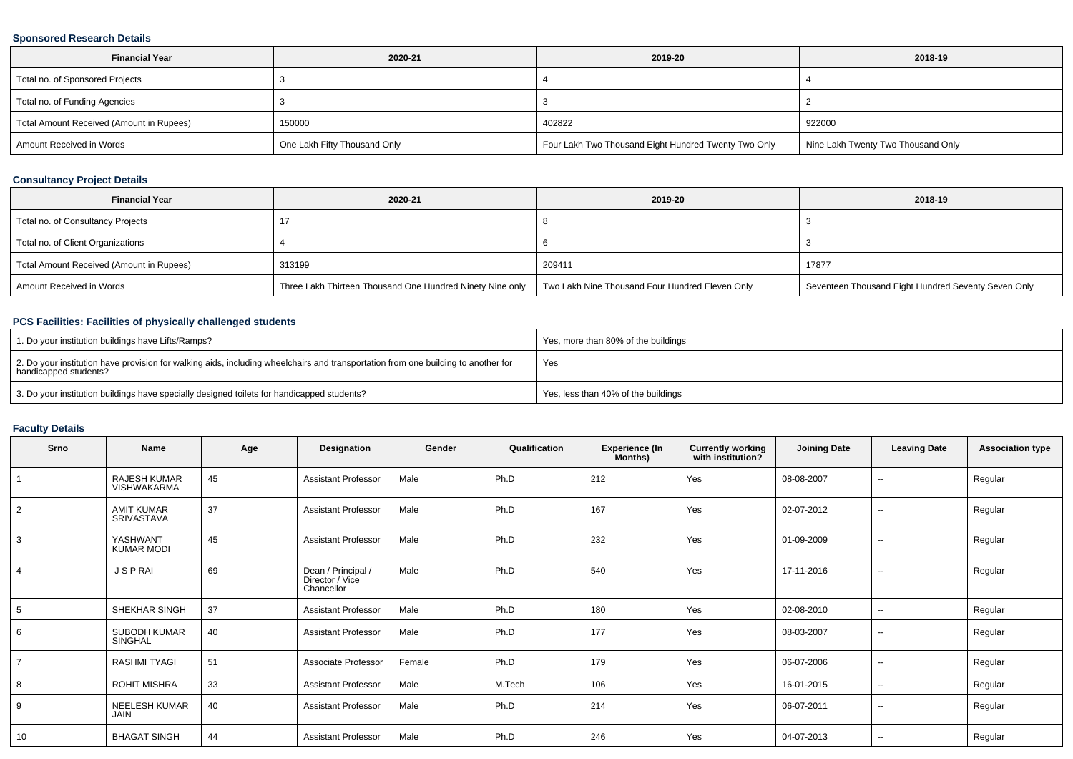### **Sponsored Research Details**

| <b>Financial Year</b><br>2020-21         |                              | 2019-20                                              | 2018-19                            |
|------------------------------------------|------------------------------|------------------------------------------------------|------------------------------------|
| Total no. of Sponsored Projects          |                              |                                                      |                                    |
| Total no. of Funding Agencies            |                              |                                                      |                                    |
| Total Amount Received (Amount in Rupees) | 150000                       | 402822                                               | 922000                             |
| Amount Received in Words                 | One Lakh Fifty Thousand Only | Four Lakh Two Thousand Eight Hundred Twenty Two Only | Nine Lakh Twenty Two Thousand Only |

### **Consultancy Project Details**

| <b>Financial Year</b>                    | 2020-21                                                   | 2019-20                                         | 2018-19                                             |
|------------------------------------------|-----------------------------------------------------------|-------------------------------------------------|-----------------------------------------------------|
| Total no. of Consultancy Projects        |                                                           |                                                 |                                                     |
| Total no. of Client Organizations        |                                                           |                                                 |                                                     |
| Total Amount Received (Amount in Rupees) | 313199                                                    | 209411                                          | 17877                                               |
| Amount Received in Words                 | Three Lakh Thirteen Thousand One Hundred Ninety Nine only | Two Lakh Nine Thousand Four Hundred Eleven Only | Seventeen Thousand Eight Hundred Seventy Seven Only |

### **PCS Facilities: Facilities of physically challenged students**

| 1. Do your institution buildings have Lifts/Ramps?                                                                                                         | Yes, more than 80% of the buildings |
|------------------------------------------------------------------------------------------------------------------------------------------------------------|-------------------------------------|
| 2. Do your institution have provision for walking aids, including wheelchairs and transportation from one building to another for<br>handicapped students? | Yes                                 |
| 3. Do your institution buildings have specially designed toilets for handicapped students?                                                                 | Yes, less than 40% of the buildings |

# **Faculty Details**

| Srno           | Name                                | Age | Designation                                         | Gender | Qualification | <b>Experience (In</b><br>Months) | <b>Currently working</b><br>with institution? | <b>Joining Date</b> | <b>Leaving Date</b>      | <b>Association type</b> |
|----------------|-------------------------------------|-----|-----------------------------------------------------|--------|---------------|----------------------------------|-----------------------------------------------|---------------------|--------------------------|-------------------------|
|                | RAJESH KUMAR<br>VISHWAKARMA         | 45  | <b>Assistant Professor</b>                          | Male   | Ph.D          | 212                              | Yes                                           | 08-08-2007          | $\overline{\phantom{a}}$ | Regular                 |
| $\overline{2}$ | <b>AMIT KUMAR</b><br>SRIVASTAVA     | 37  | <b>Assistant Professor</b>                          | Male   | Ph.D          | 167                              | Yes                                           | 02-07-2012          | $\overline{\phantom{a}}$ | Regular                 |
| 3              | YASHWANT<br><b>KUMAR MODI</b>       | 45  | Assistant Professor                                 | Male   | Ph.D          | 232                              | Yes                                           | 01-09-2009          | $\overline{\phantom{a}}$ | Regular                 |
| $\overline{4}$ | <b>JSPRAI</b>                       | 69  | Dean / Principal /<br>Director / Vice<br>Chancellor | Male   | Ph.D          | 540                              | Yes                                           | 17-11-2016          | $\overline{\phantom{m}}$ | Regular                 |
| 5              | SHEKHAR SINGH                       | 37  | <b>Assistant Professor</b>                          | Male   | Ph.D          | 180                              | Yes                                           | 02-08-2010          | $\overline{\phantom{a}}$ | Regular                 |
| 6              | SUBODH KUMAR<br>SINGHAL             | 40  | <b>Assistant Professor</b>                          | Male   | Ph.D          | 177                              | Yes                                           | 08-03-2007          | $\overline{\phantom{a}}$ | Regular                 |
| $\overline{7}$ | <b>RASHMI TYAGI</b>                 | 51  | Associate Professor                                 | Female | Ph.D          | 179                              | Yes                                           | 06-07-2006          | $\overline{\phantom{m}}$ | Regular                 |
| 8              | <b>ROHIT MISHRA</b>                 | 33  | <b>Assistant Professor</b>                          | Male   | M.Tech        | 106                              | Yes                                           | 16-01-2015          | $\overline{\phantom{m}}$ | Regular                 |
| 9              | <b>NEELESH KUMAR</b><br><b>JAIN</b> | 40  | <b>Assistant Professor</b>                          | Male   | Ph.D          | 214                              | Yes                                           | 06-07-2011          | $\overline{\phantom{m}}$ | Regular                 |
| 10             | <b>BHAGAT SINGH</b>                 | 44  | <b>Assistant Professor</b>                          | Male   | Ph.D          | 246                              | Yes                                           | 04-07-2013          | $\sim$                   | Regular                 |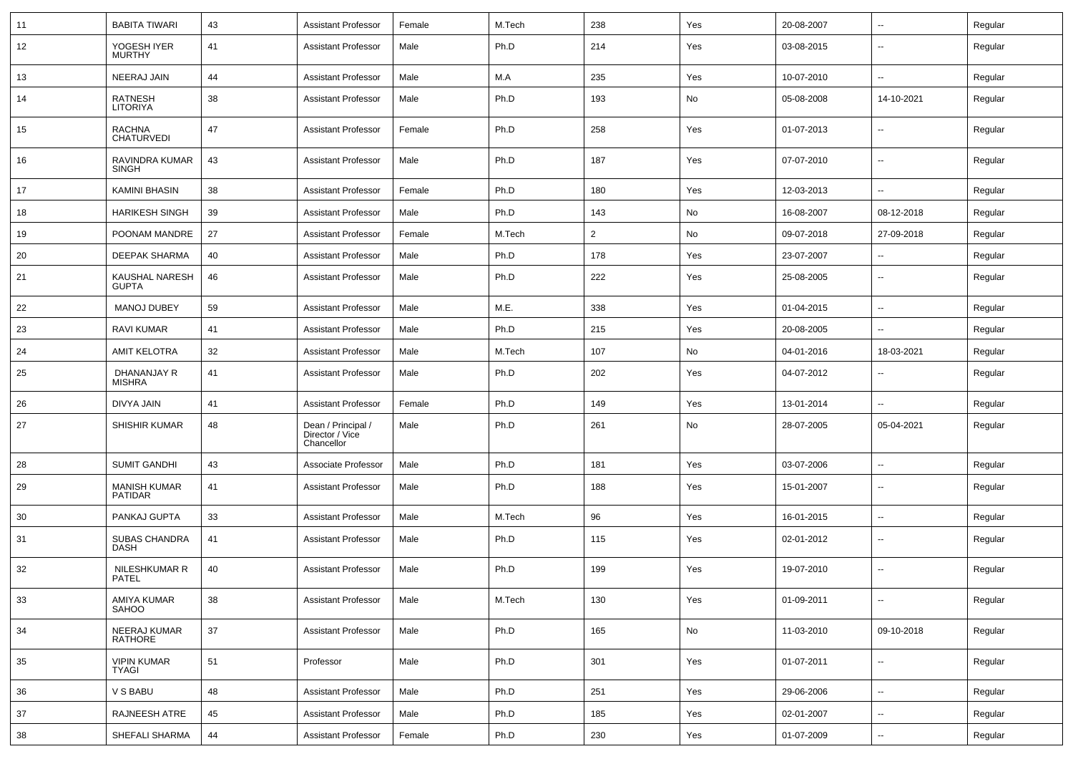| 11 | <b>BABITA TIWARI</b>                  | 43 | <b>Assistant Professor</b>                          | Female | M.Tech | 238            | Yes | 20-08-2007 | $\sim$                   | Regular |
|----|---------------------------------------|----|-----------------------------------------------------|--------|--------|----------------|-----|------------|--------------------------|---------|
| 12 | YOGESH IYER<br><b>MURTHY</b>          | 41 | <b>Assistant Professor</b>                          | Male   | Ph.D   | 214            | Yes | 03-08-2015 | Ξ.                       | Regular |
| 13 | NEERAJ JAIN                           | 44 | <b>Assistant Professor</b>                          | Male   | M.A    | 235            | Yes | 10-07-2010 | $\sim$                   | Regular |
| 14 | <b>RATNESH</b><br><b>LITORIYA</b>     | 38 | <b>Assistant Professor</b>                          | Male   | Ph.D   | 193            | No  | 05-08-2008 | 14-10-2021               | Regular |
| 15 | <b>RACHNA</b><br><b>CHATURVEDI</b>    | 47 | <b>Assistant Professor</b>                          | Female | Ph.D   | 258            | Yes | 01-07-2013 | $\sim$                   | Regular |
| 16 | RAVINDRA KUMAR<br><b>SINGH</b>        | 43 | <b>Assistant Professor</b>                          | Male   | Ph.D   | 187            | Yes | 07-07-2010 | $\sim$                   | Regular |
| 17 | <b>KAMINI BHASIN</b>                  | 38 | <b>Assistant Professor</b>                          | Female | Ph.D   | 180            | Yes | 12-03-2013 | $\overline{a}$           | Regular |
| 18 | <b>HARIKESH SINGH</b>                 | 39 | <b>Assistant Professor</b>                          | Male   | Ph.D   | 143            | No  | 16-08-2007 | 08-12-2018               | Regular |
| 19 | POONAM MANDRE                         | 27 | <b>Assistant Professor</b>                          | Female | M.Tech | $\overline{2}$ | No  | 09-07-2018 | 27-09-2018               | Regular |
| 20 | <b>DEEPAK SHARMA</b>                  | 40 | <b>Assistant Professor</b>                          | Male   | Ph.D   | 178            | Yes | 23-07-2007 |                          | Regular |
| 21 | KAUSHAL NARESH<br><b>GUPTA</b>        | 46 | <b>Assistant Professor</b>                          | Male   | Ph.D   | 222            | Yes | 25-08-2005 | ۰.                       | Regular |
| 22 | <b>MANOJ DUBEY</b>                    | 59 | <b>Assistant Professor</b>                          | Male   | M.E.   | 338            | Yes | 01-04-2015 | $\sim$                   | Regular |
| 23 | <b>RAVI KUMAR</b>                     | 41 | <b>Assistant Professor</b>                          | Male   | Ph.D   | 215            | Yes | 20-08-2005 | $\overline{\phantom{a}}$ | Regular |
| 24 | <b>AMIT KELOTRA</b>                   | 32 | <b>Assistant Professor</b>                          | Male   | M.Tech | 107            | No  | 04-01-2016 | 18-03-2021               | Regular |
| 25 | DHANANJAY R<br><b>MISHRA</b>          | 41 | <b>Assistant Professor</b>                          | Male   | Ph.D   | 202            | Yes | 04-07-2012 |                          | Regular |
| 26 | DIVYA JAIN                            | 41 | <b>Assistant Professor</b>                          | Female | Ph.D   | 149            | Yes | 13-01-2014 |                          | Regular |
| 27 | <b>SHISHIR KUMAR</b>                  | 48 | Dean / Principal /<br>Director / Vice<br>Chancellor | Male   | Ph.D   | 261            | No  | 28-07-2005 | 05-04-2021               | Regular |
| 28 | <b>SUMIT GANDHI</b>                   | 43 | Associate Professor                                 | Male   | Ph.D   | 181            | Yes | 03-07-2006 | $\overline{a}$           | Regular |
| 29 | <b>MANISH KUMAR</b><br><b>PATIDAR</b> | 41 | <b>Assistant Professor</b>                          | Male   | Ph.D   | 188            | Yes | 15-01-2007 | ۰.                       | Regular |
| 30 | PANKAJ GUPTA                          | 33 | <b>Assistant Professor</b>                          | Male   | M.Tech | 96             | Yes | 16-01-2015 | $\overline{\phantom{a}}$ | Regular |
| 31 | <b>SUBAS CHANDRA</b><br><b>DASH</b>   | 41 | <b>Assistant Professor</b>                          | Male   | Ph.D   | 115            | Yes | 02-01-2012 | $\sim$                   | Regular |
| 32 | NILESHKUMAR R<br>PATEL                | 40 | <b>Assistant Professor</b>                          | Male   | Ph.D   | 199            | Yes | 19-07-2010 | $\sim$                   | Regular |
| 33 | AMIYA KUMAR<br>SAHOO                  | 38 | <b>Assistant Professor</b>                          | Male   | M.Tech | 130            | Yes | 01-09-2011 | $\sim$                   | Regular |
| 34 | NEERAJ KUMAR<br>RATHORE               | 37 | <b>Assistant Professor</b>                          | Male   | Ph.D   | 165            | No  | 11-03-2010 | 09-10-2018               | Regular |
| 35 | <b>VIPIN KUMAR</b><br><b>TYAGI</b>    | 51 | Professor                                           | Male   | Ph.D   | 301            | Yes | 01-07-2011 | $\sim$                   | Regular |
| 36 | V S BABU                              | 48 | <b>Assistant Professor</b>                          | Male   | Ph.D   | 251            | Yes | 29-06-2006 | $\sim$                   | Regular |
| 37 | <b>RAJNEESH ATRE</b>                  | 45 | <b>Assistant Professor</b>                          | Male   | Ph.D   | 185            | Yes | 02-01-2007 | $\sim$                   | Regular |
| 38 | SHEFALI SHARMA                        | 44 | <b>Assistant Professor</b>                          | Female | Ph.D   | 230            | Yes | 01-07-2009 | $\sim$                   | Regular |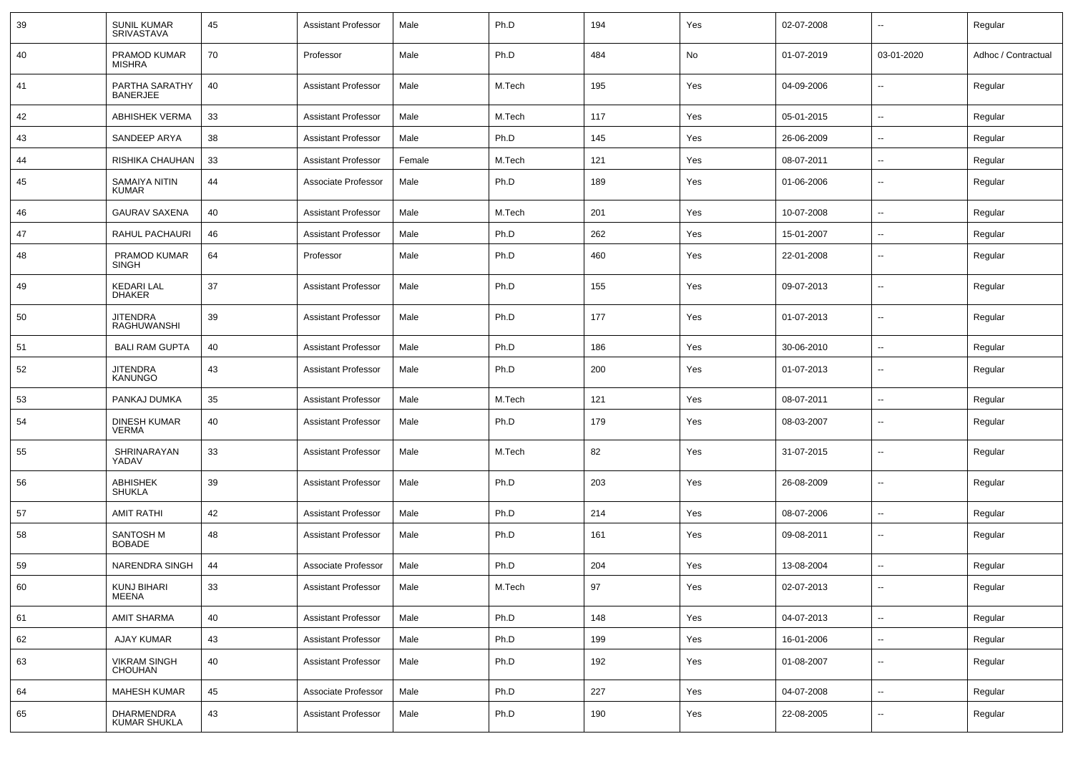| 39 | <b>SUNIL KUMAR</b><br><b>SRIVASTAVA</b> | 45     | <b>Assistant Professor</b> | Male   | Ph.D   | 194 | Yes | 02-07-2008 | --                       | Regular             |
|----|-----------------------------------------|--------|----------------------------|--------|--------|-----|-----|------------|--------------------------|---------------------|
| 40 | PRAMOD KUMAR<br><b>MISHRA</b>           | 70     | Professor                  | Male   | Ph.D   | 484 | No  | 01-07-2019 | 03-01-2020               | Adhoc / Contractual |
| 41 | PARTHA SARATHY<br><b>BANERJEE</b>       | 40     | <b>Assistant Professor</b> | Male   | M.Tech | 195 | Yes | 04-09-2006 | --                       | Regular             |
| 42 | ABHISHEK VERMA                          | 33     | <b>Assistant Professor</b> | Male   | M.Tech | 117 | Yes | 05-01-2015 | $\overline{\phantom{a}}$ | Regular             |
| 43 | SANDEEP ARYA                            | 38     | <b>Assistant Professor</b> | Male   | Ph.D   | 145 | Yes | 26-06-2009 | --                       | Regular             |
| 44 | RISHIKA CHAUHAN                         | 33     | <b>Assistant Professor</b> | Female | M.Tech | 121 | Yes | 08-07-2011 | --                       | Regular             |
| 45 | SAMAIYA NITIN<br><b>KUMAR</b>           | 44     | Associate Professor        | Male   | Ph.D   | 189 | Yes | 01-06-2006 | $\overline{\phantom{a}}$ | Regular             |
| 46 | <b>GAURAV SAXENA</b>                    | 40     | <b>Assistant Professor</b> | Male   | M.Tech | 201 | Yes | 10-07-2008 | $\overline{a}$           | Regular             |
| 47 | RAHUL PACHAURI                          | 46     | <b>Assistant Professor</b> | Male   | Ph.D   | 262 | Yes | 15-01-2007 | --                       | Regular             |
| 48 | PRAMOD KUMAR<br><b>SINGH</b>            | 64     | Professor                  | Male   | Ph.D   | 460 | Yes | 22-01-2008 | $\overline{\phantom{a}}$ | Regular             |
| 49 | <b>KEDARI LAL</b><br><b>DHAKER</b>      | 37     | <b>Assistant Professor</b> | Male   | Ph.D   | 155 | Yes | 09-07-2013 | $\overline{\phantom{a}}$ | Regular             |
| 50 | <b>JITENDRA</b><br>RAGHUWANSHI          | 39     | <b>Assistant Professor</b> | Male   | Ph.D   | 177 | Yes | 01-07-2013 | $\overline{\phantom{a}}$ | Regular             |
| 51 | <b>BALI RAM GUPTA</b>                   | 40     | <b>Assistant Professor</b> | Male   | Ph.D   | 186 | Yes | 30-06-2010 | $\overline{\phantom{a}}$ | Regular             |
| 52 | <b>JITENDRA</b><br><b>KANUNGO</b>       | 43     | <b>Assistant Professor</b> | Male   | Ph.D   | 200 | Yes | 01-07-2013 | ⊷.                       | Regular             |
| 53 | PANKAJ DUMKA                            | 35     | <b>Assistant Professor</b> | Male   | M.Tech | 121 | Yes | 08-07-2011 | ⊷.                       | Regular             |
| 54 | <b>DINESH KUMAR</b><br><b>VERMA</b>     | 40     | <b>Assistant Professor</b> | Male   | Ph.D   | 179 | Yes | 08-03-2007 | --                       | Regular             |
| 55 | SHRINARAYAN<br>YADAV                    | 33     | <b>Assistant Professor</b> | Male   | M.Tech | 82  | Yes | 31-07-2015 | --                       | Regular             |
| 56 | <b>ABHISHEK</b><br><b>SHUKLA</b>        | 39     | <b>Assistant Professor</b> | Male   | Ph.D   | 203 | Yes | 26-08-2009 | ⊷.                       | Regular             |
| 57 | <b>AMIT RATHI</b>                       | 42     | <b>Assistant Professor</b> | Male   | Ph.D   | 214 | Yes | 08-07-2006 | --                       | Regular             |
| 58 | SANTOSH M<br><b>BOBADE</b>              | 48     | <b>Assistant Professor</b> | Male   | Ph.D   | 161 | Yes | 09-08-2011 | --                       | Regular             |
| 59 | NARENDRA SINGH                          | 44     | Associate Professor        | Male   | Ph.D   | 204 | Yes | 13-08-2004 | $\overline{\phantom{a}}$ | Regular             |
| 60 | KUNJ BIHARI<br>MEENA                    | $33\,$ | Assistant Professor        | Male   | M.Tech | 97  | Yes | 02-07-2013 | $- -$                    | Regular             |
| 61 | <b>AMIT SHARMA</b>                      | 40     | <b>Assistant Professor</b> | Male   | Ph.D   | 148 | Yes | 04-07-2013 | н.                       | Regular             |
| 62 | AJAY KUMAR                              | 43     | <b>Assistant Professor</b> | Male   | Ph.D   | 199 | Yes | 16-01-2006 | н.                       | Regular             |
| 63 | <b>VIKRAM SINGH</b><br><b>CHOUHAN</b>   | 40     | <b>Assistant Professor</b> | Male   | Ph.D   | 192 | Yes | 01-08-2007 | н.                       | Regular             |
| 64 | <b>MAHESH KUMAR</b>                     | 45     | Associate Professor        | Male   | Ph.D   | 227 | Yes | 04-07-2008 | $\overline{\phantom{a}}$ | Regular             |
| 65 | DHARMENDRA<br><b>KUMAR SHUKLA</b>       | 43     | <b>Assistant Professor</b> | Male   | Ph.D   | 190 | Yes | 22-08-2005 | н.                       | Regular             |